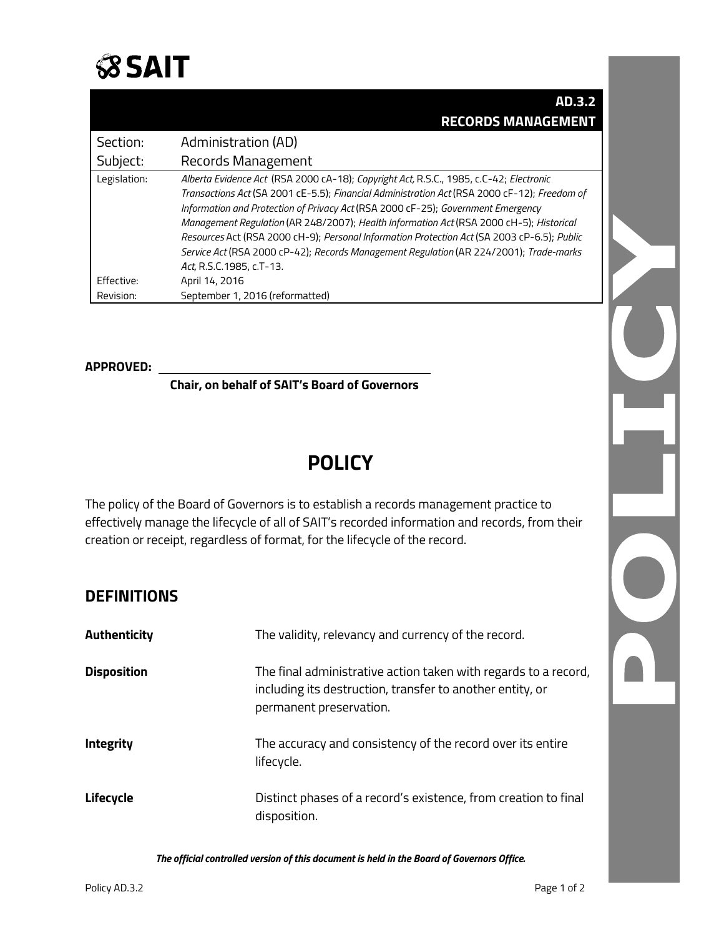

|              | AD.3.2                                                                                       |
|--------------|----------------------------------------------------------------------------------------------|
|              | <b>RECORDS MANAGEMENT</b>                                                                    |
| Section:     | Administration (AD)                                                                          |
| Subject:     | Records Management                                                                           |
| Legislation: | Alberta Evidence Act (RSA 2000 cA-18); Copyright Act, R.S.C., 1985, c.C-42; Electronic       |
|              | Transactions Act (SA 2001 cE-5.5); Financial Administration Act (RSA 2000 cF-12); Freedom of |
|              | Information and Protection of Privacy Act (RSA 2000 cF-25); Government Emergency             |
|              | Management Regulation (AR 248/2007); Health Information Act (RSA 2000 cH-5); Historical      |
|              | Resources Act (RSA 2000 cH-9); Personal Information Protection Act (SA 2003 cP-6.5); Public  |
|              | Service Act (RSA 2000 cP-42); Records Management Regulation (AR 224/2001); Trade-marks       |
|              | Act, R.S.C.1985, c.T-13.                                                                     |
| Effective:   | April 14, 2016                                                                               |
| Revision:    | September 1, 2016 (reformatted)                                                              |

#### **APPROVED:**

**Chair, on behalf of SAIT's Board of Governors**

# **POLICY**

The policy of the Board of Governors is to establish a records management practice to effectively manage the lifecycle of all of SAIT's recorded information and records, from their creation or receipt, regardless of format, for the lifecycle of the record.

#### **DEFINITIONS**

| <b>Authenticity</b> | The validity, relevancy and currency of the record.                                                                                                     |
|---------------------|---------------------------------------------------------------------------------------------------------------------------------------------------------|
| <b>Disposition</b>  | The final administrative action taken with regards to a record,<br>including its destruction, transfer to another entity, or<br>permanent preservation. |
| <b>Integrity</b>    | The accuracy and consistency of the record over its entire<br>lifecycle.                                                                                |
| Lifecycle           | Distinct phases of a record's existence, from creation to final<br>disposition.                                                                         |

*The official controlled version of this document is held in the Board of Governors Office.*

 $\Omega$